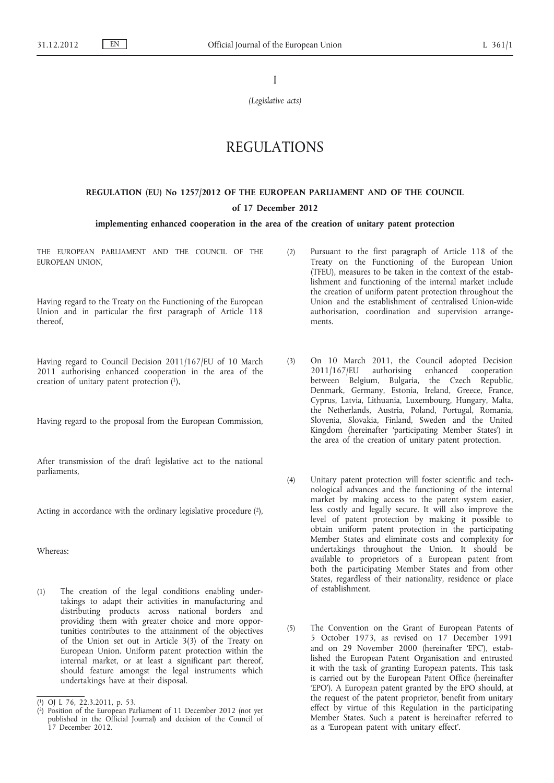I

*(Legislative acts)*

## REGULATIONS

# **REGULATION (EU) No 1257/2012 OF THE EUROPEAN PARLIAMENT AND OF THE COUNCIL**

## **of 17 December 2012**

## **implementing enhanced cooperation in the area of the creation of unitary patent protection**

THE EUROPEAN PARLIAMENT AND THE COUNCIL OF THE EUROPEAN UNION,

Having regard to the Treaty on the Functioning of the European Union and in particular the first paragraph of Article 118 thereof,

Having regard to Council Decision 2011/167/EU of 10 March 2011 authorising enhanced cooperation in the area of the creation of unitary patent protection (1),

Having regard to the proposal from the European Commission,

After transmission of the draft legislative act to the national parliaments,

Acting in accordance with the ordinary legislative procedure  $(2)$ ,

Whereas:

(1) The creation of the legal conditions enabling undertakings to adapt their activities in manufacturing and distributing products across national borders and providing them with greater choice and more opportunities contributes to the attainment of the objectives of the Union set out in Article 3(3) of the Treaty on European Union. Uniform patent protection within the internal market, or at least a significant part thereof, should feature amongst the legal instruments which undertakings have at their disposal.

- (2) Pursuant to the first paragraph of Article 118 of the Treaty on the Functioning of the European Union (TFEU), measures to be taken in the context of the establishment and functioning of the internal market include the creation of uniform patent protection throughout the Union and the establishment of centralised Union-wide authorisation, coordination and supervision arrangements.
	- (3) On 10 March 2011, the Council adopted Decision 2011/167/EU authorising enhanced cooperation between Belgium, Bulgaria, the Czech Republic, Denmark, Germany, Estonia, Ireland, Greece, France, Cyprus, Latvia, Lithuania, Luxembourg, Hungary, Malta, the Netherlands, Austria, Poland, Portugal, Romania, Slovenia, Slovakia, Finland, Sweden and the United Kingdom (hereinafter 'participating Member States') in the area of the creation of unitary patent protection.
	- (4) Unitary patent protection will foster scientific and technological advances and the functioning of the internal market by making access to the patent system easier, less costly and legally secure. It will also improve the level of patent protection by making it possible to obtain uniform patent protection in the participating Member States and eliminate costs and complexity for undertakings throughout the Union. It should be available to proprietors of a European patent from both the participating Member States and from other States, regardless of their nationality, residence or place of establishment.
	- (5) The Convention on the Grant of European Patents of 5 October 1973, as revised on 17 December 1991 and on 29 November 2000 (hereinafter 'EPC'), established the European Patent Organisation and entrusted it with the task of granting European patents. This task is carried out by the European Patent Office (hereinafter 'EPO'). A European patent granted by the EPO should, at the request of the patent proprietor, benefit from unitary effect by virtue of this Regulation in the participating Member States. Such a patent is hereinafter referred to as a 'European patent with unitary effect'.

<sup>(</sup> 1) OJ L 76, 22.3.2011, p. 53.

<sup>(</sup> 2) Position of the European Parliament of 11 December 2012 (not yet published in the Official Journal) and decision of the Council of 17 December 2012.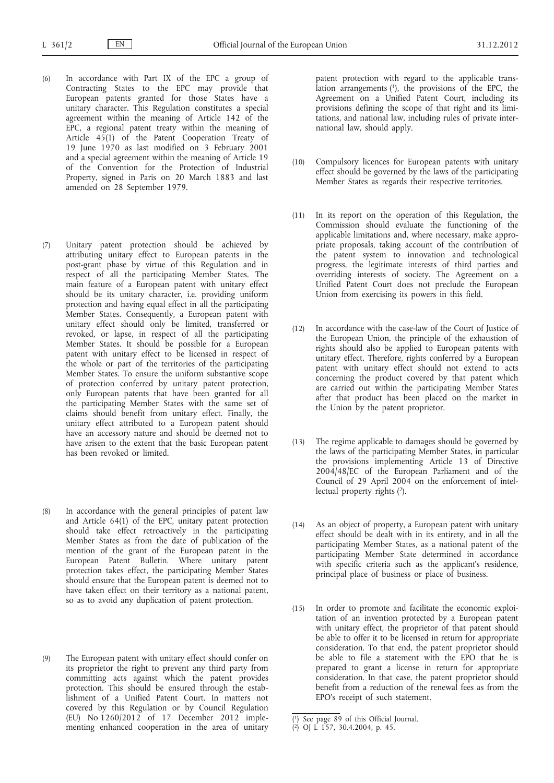- (6) In accordance with Part IX of the EPC a group of Contracting States to the EPC may provide that European patents granted for those States have a unitary character. This Regulation constitutes a special agreement within the meaning of Article 142 of the EPC, a regional patent treaty within the meaning of Article 45(1) of the Patent Cooperation Treaty of 19 June 1970 as last modified on 3 February 2001 and a special agreement within the meaning of Article 19 of the Convention for the Protection of Industrial Property, signed in Paris on 20 March 1883 and last amended on 28 September 1979.
- (7) Unitary patent protection should be achieved by attributing unitary effect to European patents in the post-grant phase by virtue of this Regulation and in respect of all the participating Member States. The main feature of a European patent with unitary effect should be its unitary character, i.e. providing uniform protection and having equal effect in all the participating Member States. Consequently, a European patent with unitary effect should only be limited, transferred or revoked, or lapse, in respect of all the participating Member States. It should be possible for a European patent with unitary effect to be licensed in respect of the whole or part of the territories of the participating Member States. To ensure the uniform substantive scope of protection conferred by unitary patent protection, only European patents that have been granted for all the participating Member States with the same set of claims should benefit from unitary effect. Finally, the unitary effect attributed to a European patent should have an accessory nature and should be deemed not to have arisen to the extent that the basic European patent has been revoked or limited.
- (8) In accordance with the general principles of patent law and Article  $64(1)$  of the EPC, unitary patent protection should take effect retroactively in the participating Member States as from the date of publication of the mention of the grant of the European patent in the European Patent Bulletin. Where unitary patent protection takes effect, the participating Member States should ensure that the European patent is deemed not to have taken effect on their territory as a national patent, so as to avoid any duplication of patent protection.
- (9) The European patent with unitary effect should confer on its proprietor the right to prevent any third party from committing acts against which the patent provides protection. This should be ensured through the establishment of a Unified Patent Court. In matters not covered by this Regulation or by Council Regulation (EU) No 1260/2012 of 17 December 2012 implementing enhanced cooperation in the area of unitary

patent protection with regard to the applicable translation arrangements  $(1)$ , the provisions of the EPC, the Agreement on a Unified Patent Court, including its provisions defining the scope of that right and its limitations, and national law, including rules of private international law, should apply.

- (10) Compulsory licences for European patents with unitary effect should be governed by the laws of the participating Member States as regards their respective territories.
- (11) In its report on the operation of this Regulation, the Commission should evaluate the functioning of the applicable limitations and, where necessary, make appropriate proposals, taking account of the contribution of the patent system to innovation and technological progress, the legitimate interests of third parties and overriding interests of society. The Agreement on a Unified Patent Court does not preclude the European Union from exercising its powers in this field.
- (12) In accordance with the case-law of the Court of Justice of the European Union, the principle of the exhaustion of rights should also be applied to European patents with unitary effect. Therefore, rights conferred by a European patent with unitary effect should not extend to acts concerning the product covered by that patent which are carried out within the participating Member States after that product has been placed on the market in the Union by the patent proprietor.
- (13) The regime applicable to damages should be governed by the laws of the participating Member States, in particular the provisions implementing Article 13 of Directive 2004/48/EC of the European Parliament and of the Council of 29 April 2004 on the enforcement of intellectual property rights (2).
- (14) As an object of property, a European patent with unitary effect should be dealt with in its entirety, and in all the participating Member States, as a national patent of the participating Member State determined in accordance with specific criteria such as the applicant's residence, principal place of business or place of business.
- (15) In order to promote and facilitate the economic exploitation of an invention protected by a European patent with unitary effect, the proprietor of that patent should be able to offer it to be licensed in return for appropriate consideration. To that end, the patent proprietor should be able to file a statement with the EPO that he is prepared to grant a license in return for appropriate consideration. In that case, the patent proprietor should benefit from a reduction of the renewal fees as from the EPO's receipt of such statement.

<sup>(</sup> 1) See page 89 of this Official Journal.

<sup>(</sup> 2) OJ L 157, 30.4.2004, p. 45.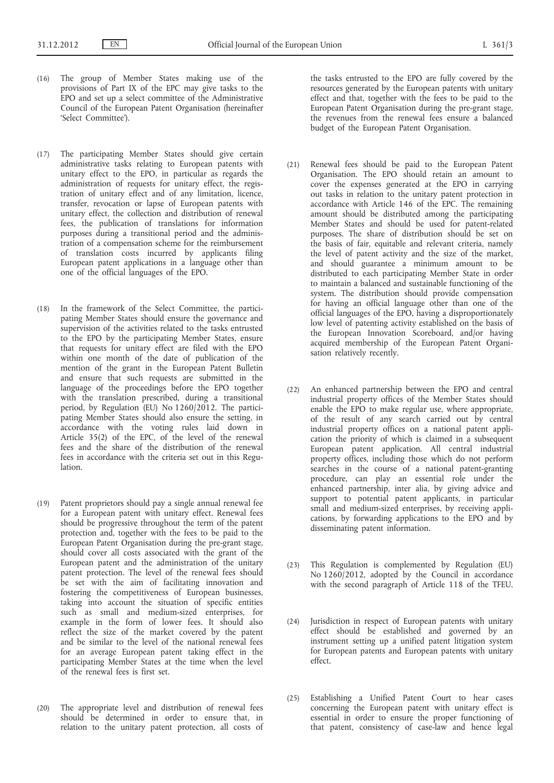- (16) The group of Member States making use of the provisions of Part IX of the EPC may give tasks to the EPO and set up a select committee of the Administrative Council of the European Patent Organisation (hereinafter 'Select Committee').
- (17) The participating Member States should give certain administrative tasks relating to European patents with unitary effect to the EPO, in particular as regards the administration of requests for unitary effect, the registration of unitary effect and of any limitation, licence, transfer, revocation or lapse of European patents with unitary effect, the collection and distribution of renewal fees, the publication of translations for information purposes during a transitional period and the administration of a compensation scheme for the reimbursement of translation costs incurred by applicants filing European patent applications in a language other than one of the official languages of the EPO.
- (18) In the framework of the Select Committee, the participating Member States should ensure the governance and supervision of the activities related to the tasks entrusted to the EPO by the participating Member States, ensure that requests for unitary effect are filed with the EPO within one month of the date of publication of the mention of the grant in the European Patent Bulletin and ensure that such requests are submitted in the language of the proceedings before the EPO together with the translation prescribed, during a transitional period, by Regulation (EU) No 1260/2012. The participating Member States should also ensure the setting, in accordance with the voting rules laid down in Article  $35(2)$  of the EPC, of the level of the renewal fees and the share of the distribution of the renewal fees in accordance with the criteria set out in this Regulation.
- (19) Patent proprietors should pay a single annual renewal fee for a European patent with unitary effect. Renewal fees should be progressive throughout the term of the patent protection and, together with the fees to be paid to the European Patent Organisation during the pre-grant stage, should cover all costs associated with the grant of the European patent and the administration of the unitary patent protection. The level of the renewal fees should be set with the aim of facilitating innovation and fostering the competitiveness of European businesses, taking into account the situation of specific entities such as small and medium-sized enterprises, for example in the form of lower fees. It should also reflect the size of the market covered by the patent and be similar to the level of the national renewal fees for an average European patent taking effect in the participating Member States at the time when the level of the renewal fees is first set.
- (20) The appropriate level and distribution of renewal fees should be determined in order to ensure that, in relation to the unitary patent protection, all costs of

the tasks entrusted to the EPO are fully covered by the resources generated by the European patents with unitary effect and that, together with the fees to be paid to the European Patent Organisation during the pre-grant stage, the revenues from the renewal fees ensure a balanced budget of the European Patent Organisation.

- (21) Renewal fees should be paid to the European Patent Organisation. The EPO should retain an amount to cover the expenses generated at the EPO in carrying out tasks in relation to the unitary patent protection in accordance with Article 146 of the EPC. The remaining amount should be distributed among the participating Member States and should be used for patent-related purposes. The share of distribution should be set on the basis of fair, equitable and relevant criteria, namely the level of patent activity and the size of the market, and should guarantee a minimum amount to be distributed to each participating Member State in order to maintain a balanced and sustainable functioning of the system. The distribution should provide compensation for having an official language other than one of the official languages of the EPO, having a disproportionately low level of patenting activity established on the basis of the European Innovation Scoreboard, and/or having acquired membership of the European Patent Organisation relatively recently.
- (22) An enhanced partnership between the EPO and central industrial property offices of the Member States should enable the EPO to make regular use, where appropriate, of the result of any search carried out by central industrial property offices on a national patent application the priority of which is claimed in a subsequent European patent application. All central industrial property offices, including those which do not perform searches in the course of a national patent-granting procedure, can play an essential role under the enhanced partnership, inter alia, by giving advice and support to potential patent applicants, in particular small and medium-sized enterprises, by receiving applications, by forwarding applications to the EPO and by disseminating patent information.
- (23) This Regulation is complemented by Regulation (EU) No 1260/2012, adopted by the Council in accordance with the second paragraph of Article 118 of the TFEU.
- (24) Jurisdiction in respect of European patents with unitary effect should be established and governed by an instrument setting up a unified patent litigation system for European patents and European patents with unitary effect.
- (25) Establishing a Unified Patent Court to hear cases concerning the European patent with unitary effect is essential in order to ensure the proper functioning of that patent, consistency of case-law and hence legal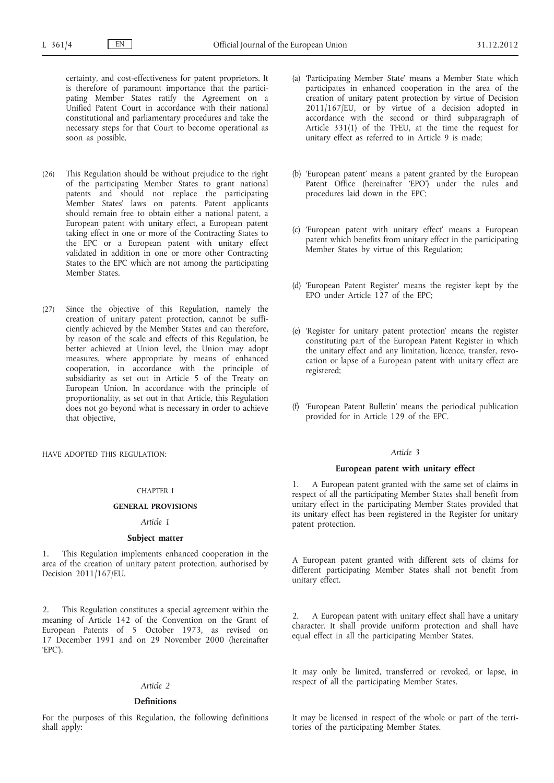certainty, and cost-effectiveness for patent proprietors. It is therefore of paramount importance that the participating Member States ratify the Agreement on a Unified Patent Court in accordance with their national constitutional and parliamentary procedures and take the necessary steps for that Court to become operational as soon as possible.

- (26) This Regulation should be without prejudice to the right of the participating Member States to grant national patents and should not replace the participating Member States' laws on patents. Patent applicants should remain free to obtain either a national patent, a European patent with unitary effect, a European patent taking effect in one or more of the Contracting States to the EPC or a European patent with unitary effect validated in addition in one or more other Contracting States to the EPC which are not among the participating Member States.
- (27) Since the objective of this Regulation, namely the creation of unitary patent protection, cannot be sufficiently achieved by the Member States and can therefore, by reason of the scale and effects of this Regulation, be better achieved at Union level, the Union may adopt measures, where appropriate by means of enhanced cooperation, in accordance with the principle of subsidiarity as set out in Article 5 of the Treaty on European Union. In accordance with the principle of proportionality, as set out in that Article, this Regulation does not go beyond what is necessary in order to achieve that objective,

HAVE ADOPTED THIS REGULATION:

#### CHAPTER I

#### **GENERAL PROVISIONS**

#### *Article 1*

#### **Subject matter**

1. This Regulation implements enhanced cooperation in the area of the creation of unitary patent protection, authorised by Decision 2011/167/EU.

2. This Regulation constitutes a special agreement within the meaning of Article 142 of the Convention on the Grant of European Patents of 5 October 1973, as revised on 17 December 1991 and on 29 November 2000 (hereinafter 'EPC').

## *Article 2*

## **Definitions**

For the purposes of this Regulation, the following definitions shall apply:

- (a) 'Participating Member State' means a Member State which participates in enhanced cooperation in the area of the creation of unitary patent protection by virtue of Decision 2011/167/EU, or by virtue of a decision adopted in accordance with the second or third subparagraph of Article 331(1) of the TFEU, at the time the request for unitary effect as referred to in Article 9 is made;
- (b) 'European patent' means a patent granted by the European Patent Office (hereinafter 'EPO') under the rules and procedures laid down in the EPC;
- (c) 'European patent with unitary effect' means a European patent which benefits from unitary effect in the participating Member States by virtue of this Regulation;
- (d) 'European Patent Register' means the register kept by the EPO under Article 127 of the EPC;
- (e) 'Register for unitary patent protection' means the register constituting part of the European Patent Register in which the unitary effect and any limitation, licence, transfer, revocation or lapse of a European patent with unitary effect are registered;
- (f) 'European Patent Bulletin' means the periodical publication provided for in Article 129 of the EPC.

## *Article 3*

#### **European patent with unitary effect**

1. A European patent granted with the same set of claims in respect of all the participating Member States shall benefit from unitary effect in the participating Member States provided that its unitary effect has been registered in the Register for unitary patent protection.

A European patent granted with different sets of claims for different participating Member States shall not benefit from unitary effect.

2. A European patent with unitary effect shall have a unitary character. It shall provide uniform protection and shall have equal effect in all the participating Member States.

It may only be limited, transferred or revoked, or lapse, in respect of all the participating Member States.

It may be licensed in respect of the whole or part of the territories of the participating Member States.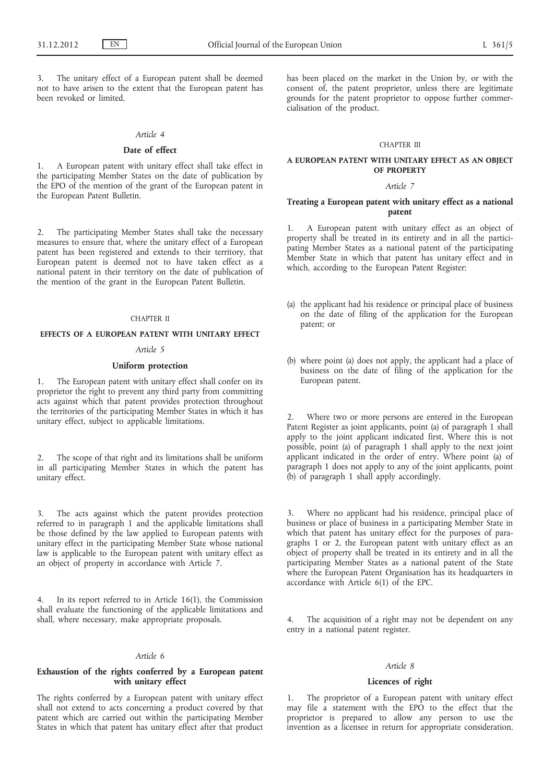The unitary effect of a European patent shall be deemed not to have arisen to the extent that the European patent has been revoked or limited.

#### *Article 4*

#### **Date of effect**

1. A European patent with unitary effect shall take effect in the participating Member States on the date of publication by the EPO of the mention of the grant of the European patent in the European Patent Bulletin.

The participating Member States shall take the necessary measures to ensure that, where the unitary effect of a European patent has been registered and extends to their territory, that European patent is deemed not to have taken effect as a national patent in their territory on the date of publication of the mention of the grant in the European Patent Bulletin.

#### CHAPTER II

#### **EFFECTS OF A EUROPEAN PATENT WITH UNITARY EFFECT**

## *Article 5*

## **Uniform protection**

1. The European patent with unitary effect shall confer on its proprietor the right to prevent any third party from committing acts against which that patent provides protection throughout the territories of the participating Member States in which it has unitary effect, subject to applicable limitations.

The scope of that right and its limitations shall be uniform in all participating Member States in which the patent has unitary effect.

The acts against which the patent provides protection referred to in paragraph 1 and the applicable limitations shall be those defined by the law applied to European patents with unitary effect in the participating Member State whose national law is applicable to the European patent with unitary effect as an object of property in accordance with Article 7.

4. In its report referred to in Article 16(1), the Commission shall evaluate the functioning of the applicable limitations and shall, where necessary, make appropriate proposals.

#### *Article 6*

## **Exhaustion of the rights conferred by a European patent with unitary effect**

The rights conferred by a European patent with unitary effect shall not extend to acts concerning a product covered by that patent which are carried out within the participating Member States in which that patent has unitary effect after that product has been placed on the market in the Union by, or with the consent of, the patent proprietor, unless there are legitimate grounds for the patent proprietor to oppose further commercialisation of the product.

#### CHAPTER III

## **A EUROPEAN PATENT WITH UNITARY EFFECT AS AN OBJECT OF PROPERTY**

#### *Article 7*

## **Treating a European patent with unitary effect as a national patent**

1. A European patent with unitary effect as an object of property shall be treated in its entirety and in all the participating Member States as a national patent of the participating Member State in which that patent has unitary effect and in which, according to the European Patent Register:

- (a) the applicant had his residence or principal place of business on the date of filing of the application for the European patent; or
- (b) where point (a) does not apply, the applicant had a place of business on the date of filing of the application for the European patent.

Where two or more persons are entered in the European Patent Register as joint applicants, point (a) of paragraph 1 shall apply to the joint applicant indicated first. Where this is not possible, point (a) of paragraph 1 shall apply to the next joint applicant indicated in the order of entry. Where point (a) of paragraph 1 does not apply to any of the joint applicants, point (b) of paragraph 1 shall apply accordingly.

3. Where no applicant had his residence, principal place of business or place of business in a participating Member State in which that patent has unitary effect for the purposes of paragraphs 1 or 2, the European patent with unitary effect as an object of property shall be treated in its entirety and in all the participating Member States as a national patent of the State where the European Patent Organisation has its headquarters in accordance with Article 6(1) of the EPC.

4. The acquisition of a right may not be dependent on any entry in a national patent register.

## *Article 8*

#### **Licences of right**

1. The proprietor of a European patent with unitary effect may file a statement with the EPO to the effect that the proprietor is prepared to allow any person to use the invention as a licensee in return for appropriate consideration.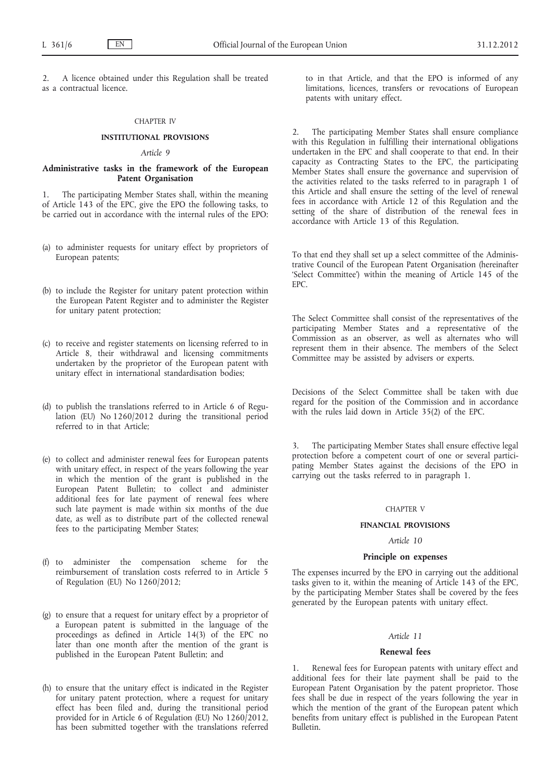2. A licence obtained under this Regulation shall be treated as a contractual licence.

## CHAPTER IV

#### **INSTITUTIONAL PROVISIONS**

#### *Article 9*

## **Administrative tasks in the framework of the European Patent Organisation**

1. The participating Member States shall, within the meaning of Article 143 of the EPC, give the EPO the following tasks, to be carried out in accordance with the internal rules of the EPO:

- (a) to administer requests for unitary effect by proprietors of European patents;
- (b) to include the Register for unitary patent protection within the European Patent Register and to administer the Register for unitary patent protection;
- (c) to receive and register statements on licensing referred to in Article 8, their withdrawal and licensing commitments undertaken by the proprietor of the European patent with unitary effect in international standardisation bodies;
- (d) to publish the translations referred to in Article 6 of Regulation (EU) No 1260/2012 during the transitional period referred to in that Article;
- (e) to collect and administer renewal fees for European patents with unitary effect, in respect of the years following the year in which the mention of the grant is published in the European Patent Bulletin; to collect and administer additional fees for late payment of renewal fees where such late payment is made within six months of the due date, as well as to distribute part of the collected renewal fees to the participating Member States;
- (f) to administer the compensation scheme for the reimbursement of translation costs referred to in Article 5 of Regulation (EU) No 1260/2012;
- (g) to ensure that a request for unitary effect by a proprietor of a European patent is submitted in the language of the proceedings as defined in Article 14(3) of the EPC no later than one month after the mention of the grant is published in the European Patent Bulletin; and
- (h) to ensure that the unitary effect is indicated in the Register for unitary patent protection, where a request for unitary effect has been filed and, during the transitional period provided for in Article 6 of Regulation (EU) No 1260/2012, has been submitted together with the translations referred

to in that Article, and that the EPO is informed of any limitations, licences, transfers or revocations of European patents with unitary effect.

2. The participating Member States shall ensure compliance with this Regulation in fulfilling their international obligations undertaken in the EPC and shall cooperate to that end. In their capacity as Contracting States to the EPC, the participating Member States shall ensure the governance and supervision of the activities related to the tasks referred to in paragraph 1 of this Article and shall ensure the setting of the level of renewal fees in accordance with Article 12 of this Regulation and the setting of the share of distribution of the renewal fees in accordance with Article 13 of this Regulation.

To that end they shall set up a select committee of the Administrative Council of the European Patent Organisation (hereinafter 'Select Committee') within the meaning of Article 145 of the EPC.

The Select Committee shall consist of the representatives of the participating Member States and a representative of the Commission as an observer, as well as alternates who will represent them in their absence. The members of the Select Committee may be assisted by advisers or experts.

Decisions of the Select Committee shall be taken with due regard for the position of the Commission and in accordance with the rules laid down in Article 35(2) of the EPC.

3. The participating Member States shall ensure effective legal protection before a competent court of one or several participating Member States against the decisions of the EPO in carrying out the tasks referred to in paragraph 1.

#### CHAPTER V

#### **FINANCIAL PROVISIONS**

## *Article 10*

#### **Principle on expenses**

The expenses incurred by the EPO in carrying out the additional tasks given to it, within the meaning of Article 143 of the EPC, by the participating Member States shall be covered by the fees generated by the European patents with unitary effect.

#### *Article 11*

#### **Renewal fees**

1. Renewal fees for European patents with unitary effect and additional fees for their late payment shall be paid to the European Patent Organisation by the patent proprietor. Those fees shall be due in respect of the years following the year in which the mention of the grant of the European patent which benefits from unitary effect is published in the European Patent Bulletin.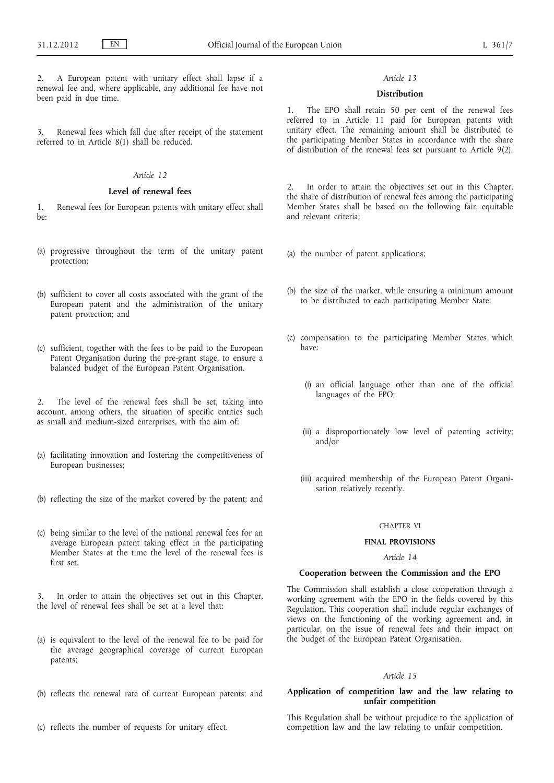2. A European patent with unitary effect shall lapse if a renewal fee and, where applicable, any additional fee have not been paid in due time.

3. Renewal fees which fall due after receipt of the statement referred to in Article 8(1) shall be reduced.

## *Article 12*

## **Level of renewal fees**

1. Renewal fees for European patents with unitary effect shall be:

- (a) progressive throughout the term of the unitary patent protection;
- (b) sufficient to cover all costs associated with the grant of the European patent and the administration of the unitary patent protection; and
- (c) sufficient, together with the fees to be paid to the European Patent Organisation during the pre-grant stage, to ensure a balanced budget of the European Patent Organisation.

2. The level of the renewal fees shall be set, taking into account, among others, the situation of specific entities such as small and medium-sized enterprises, with the aim of:

- (a) facilitating innovation and fostering the competitiveness of European businesses;
- (b) reflecting the size of the market covered by the patent; and
- (c) being similar to the level of the national renewal fees for an average European patent taking effect in the participating Member States at the time the level of the renewal fees is first set.

3. In order to attain the objectives set out in this Chapter, the level of renewal fees shall be set at a level that:

- (a) is equivalent to the level of the renewal fee to be paid for the average geographical coverage of current European patents;
- (b) reflects the renewal rate of current European patents; and
- (c) reflects the number of requests for unitary effect.

## *Article 13*

## **Distribution**

1. The EPO shall retain 50 per cent of the renewal fees referred to in Article 11 paid for European patents with unitary effect. The remaining amount shall be distributed to the participating Member States in accordance with the share of distribution of the renewal fees set pursuant to Article 9(2).

2. In order to attain the objectives set out in this Chapter, the share of distribution of renewal fees among the participating Member States shall be based on the following fair, equitable and relevant criteria:

- (a) the number of patent applications;
- (b) the size of the market, while ensuring a minimum amount to be distributed to each participating Member State;
- (c) compensation to the participating Member States which have:
	- (i) an official language other than one of the official languages of the EPO;
	- (ii) a disproportionately low level of patenting activity; and/or
	- (iii) acquired membership of the European Patent Organisation relatively recently.

## CHAPTER VI

## **FINAL PROVISIONS**

## *Article 14*

#### **Cooperation between the Commission and the EPO**

The Commission shall establish a close cooperation through a working agreement with the EPO in the fields covered by this Regulation. This cooperation shall include regular exchanges of views on the functioning of the working agreement and, in particular, on the issue of renewal fees and their impact on the budget of the European Patent Organisation.

#### *Article 15*

## **Application of competition law and the law relating to unfair competition**

This Regulation shall be without prejudice to the application of competition law and the law relating to unfair competition.